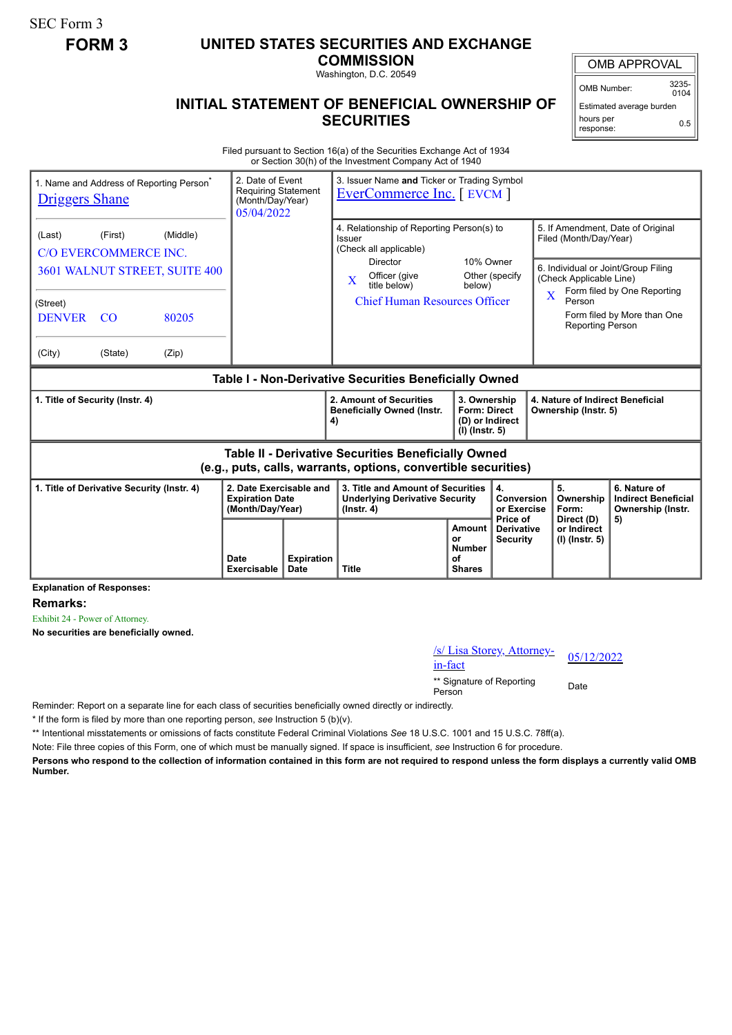SEC Form 3

# **FORM 3 UNITED STATES SECURITIES AND EXCHANGE**

**COMMISSION**

Washington, D.C. 20549

#### **INITIAL STATEMENT OF BENEFICIAL OWNERSHIP OF SECURITIES**

OMB APPROVAL

OMB Number: 3235-  $0104$ 

Estimated average burden hours per response: 0.5

Filed pursuant to Section 16(a) of the Securities Exchange Act of 1934 or Section 30(h) of the Investment Company Act of 1940

| 1. Name and Address of Reporting Person <sup>®</sup><br><b>Driggers Shane</b>                                         |                                                                     | 2. Date of Event<br><b>Requiring Statement</b><br>(Month/Day/Year)<br>05/04/2022 |                                                                       | 3. Issuer Name and Ticker or Trading Symbol<br><b>EverCommerce Inc.</b> [ EVCM ] |                                                                                                                                                                                                                                    |                                                                          |                                                    |                                                                                                                                                                                                                                                      |                                        |                                                                 |
|-----------------------------------------------------------------------------------------------------------------------|---------------------------------------------------------------------|----------------------------------------------------------------------------------|-----------------------------------------------------------------------|----------------------------------------------------------------------------------|------------------------------------------------------------------------------------------------------------------------------------------------------------------------------------------------------------------------------------|--------------------------------------------------------------------------|----------------------------------------------------|------------------------------------------------------------------------------------------------------------------------------------------------------------------------------------------------------------------------------------------------------|----------------------------------------|-----------------------------------------------------------------|
| (Last)<br>(Street)<br><b>DENVER</b><br>(City)                                                                         | (First)<br><b>C/O EVERCOMMERCE INC.</b><br><sub>CO</sub><br>(State) | (Middle)<br>3601 WALNUT STREET, SUITE 400<br>80205<br>(Zip)                      |                                                                       |                                                                                  | 4. Relationship of Reporting Person(s) to<br>Issuer<br>(Check all applicable)<br>10% Owner<br><b>Director</b><br>Other (specify<br>Officer (give<br>$\mathbf{X}$<br>title below)<br>below)<br><b>Chief Human Resources Officer</b> |                                                                          |                                                    | 5. If Amendment, Date of Original<br>Filed (Month/Day/Year)<br>6. Individual or Joint/Group Filing<br>(Check Applicable Line)<br>Form filed by One Reporting<br>$\overline{\mathbf{X}}$<br>Person<br>Form filed by More than One<br>Reporting Person |                                        |                                                                 |
| Table I - Non-Derivative Securities Beneficially Owned                                                                |                                                                     |                                                                                  |                                                                       |                                                                                  |                                                                                                                                                                                                                                    |                                                                          |                                                    |                                                                                                                                                                                                                                                      |                                        |                                                                 |
| 1. Title of Security (Instr. 4)                                                                                       |                                                                     |                                                                                  |                                                                       |                                                                                  | 2. Amount of Securities<br><b>Beneficially Owned (Instr.</b><br>4)                                                                                                                                                                 | 3. Ownership<br><b>Form: Direct</b><br>(D) or Indirect<br>(I) (Instr. 5) |                                                    | 4. Nature of Indirect Beneficial<br>Ownership (Instr. 5)                                                                                                                                                                                             |                                        |                                                                 |
| Table II - Derivative Securities Beneficially Owned<br>(e.g., puts, calls, warrants, options, convertible securities) |                                                                     |                                                                                  |                                                                       |                                                                                  |                                                                                                                                                                                                                                    |                                                                          |                                                    |                                                                                                                                                                                                                                                      |                                        |                                                                 |
| 1. Title of Derivative Security (Instr. 4)<br>- - - -                                                                 |                                                                     |                                                                                  | 2. Date Exercisable and<br><b>Expiration Date</b><br>(Month/Day/Year) |                                                                                  | 3. Title and Amount of Securities<br><b>Underlying Derivative Security</b><br>$($ lnstr. 4 $)$                                                                                                                                     |                                                                          | 4.<br><b>Conversion</b><br>or Exercise<br>Price of |                                                                                                                                                                                                                                                      | 5.<br>Ownership<br>Form:<br>Direct (D) | 6. Nature of<br><b>Indirect Beneficial</b><br>Ownership (Instr. |
|                                                                                                                       |                                                                     |                                                                                  | Date<br><b>Exercisable</b>                                            | <b>Expiration</b><br><b>Date</b>                                                 | <b>Title</b>                                                                                                                                                                                                                       | Amount<br>or<br><b>Number</b><br>of<br><b>Shares</b>                     | <b>Derivative</b><br><b>Security</b>               |                                                                                                                                                                                                                                                      | or Indirect<br>(I) (Instr. 5)          | 5)                                                              |

**Explanation of Responses:**

**Remarks:**

Exhibit 24 - Power of Attorney.

**No securities are beneficially owned.**

/s/ Lisa Storey, Attorney-<br>in-fact

\*\* Signature of Reporting <sub>Date</sub><br>Person

Reminder: Report on a separate line for each class of securities beneficially owned directly or indirectly.

\* If the form is filed by more than one reporting person, *see* Instruction 5 (b)(v).

\*\* Intentional misstatements or omissions of facts constitute Federal Criminal Violations *See* 18 U.S.C. 1001 and 15 U.S.C. 78ff(a).

Note: File three copies of this Form, one of which must be manually signed. If space is insufficient, *see* Instruction 6 for procedure.

**Persons who respond to the collection of information contained in this form are not required to respond unless the form displays a currently valid OMB Number.**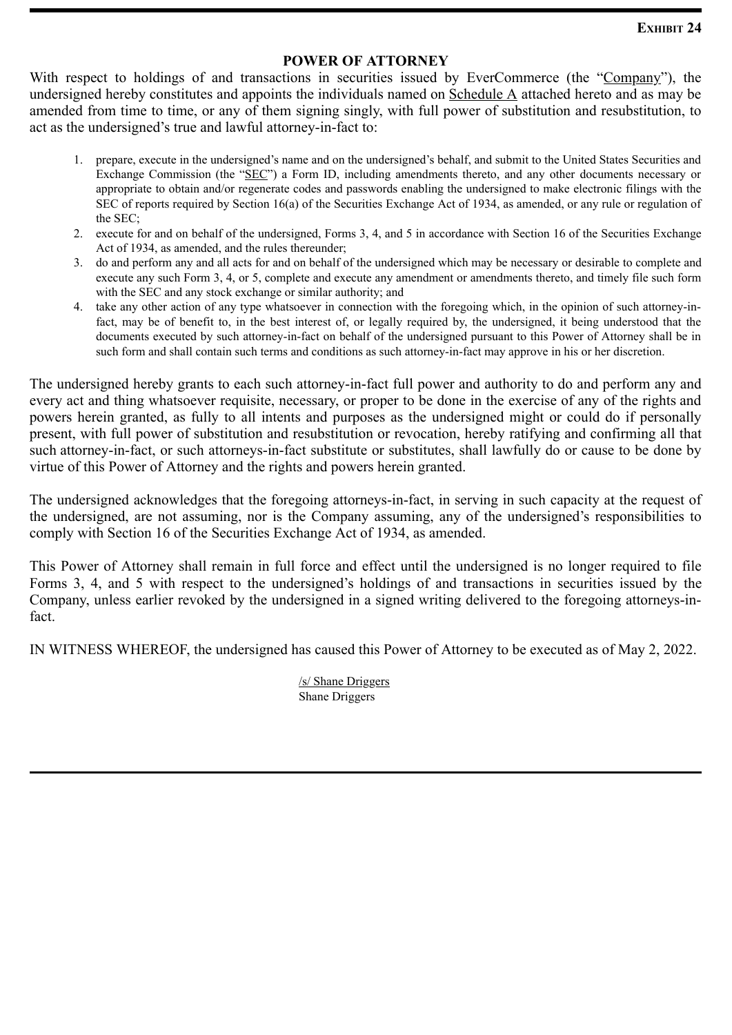## **ExHIBIT 24**

### **POWER OF ATTORNEY**

With respect to holdings of and transactions in securities issued by EverCommerce (the "Company"), the undersigned hereby constitutes and appoints the individuals named on Schedule A attached hereto and as may be amended from time to time, or any of them signing singly, with full power of substitution and resubstitution, to act as the undersigned's true and lawful attorney-in-fact to:

- 1. prepare, execute in the undersigned's name and on the undersigned's behalf, and submit to the United States Securities and Exchange Commission (the "SEC") a Form ID, including amendments thereto, and any other documents necessary or appropriate to obtain and/or regenerate codes and passwords enabling the undersigned to make electronic filings with the SEC of reports required by Section 16(a) of the Securities Exchange Act of 1934, as amended, or any rule or regulation of the SEC;
- 2. execute for and on behalf of the undersigned, Forms 3, 4, and 5 in accordance with Section 16 of the Securities Exchange Act of 1934, as amended, and the rules thereunder;
- 3. do and perform any and all acts for and on behalf of the undersigned which may be necessary or desirable to complete and execute any such Form 3, 4, or 5, complete and execute any amendment or amendments thereto, and timely file such form with the SEC and any stock exchange or similar authority; and
- 4. take any other action of any type whatsoever in connection with the foregoing which, in the opinion of such attorney-infact, may be of benefit to, in the best interest of, or legally required by, the undersigned, it being understood that the documents executed by such attorney-in-fact on behalf of the undersigned pursuant to this Power of Attorney shall be in such form and shall contain such terms and conditions as such attorney-in-fact may approve in his or her discretion.

The undersigned hereby grants to each such attorney-in-fact full power and authority to do and perform any and every act and thing whatsoever requisite, necessary, or proper to be done in the exercise of any of the rights and powers herein granted, as fully to all intents and purposes as the undersigned might or could do if personally present, with full power of substitution and resubstitution or revocation, hereby ratifying and confirming all that such attorney-in-fact, or such attorneys-in-fact substitute or substitutes, shall lawfully do or cause to be done by virtue of this Power of Attorney and the rights and powers herein granted.

The undersigned acknowledges that the foregoing attorneys-in-fact, in serving in such capacity at the request of the undersigned, are not assuming, nor is the Company assuming, any of the undersigned's responsibilities to comply with Section 16 of the Securities Exchange Act of 1934, as amended.

This Power of Attorney shall remain in full force and effect until the undersigned is no longer required to file Forms 3, 4, and 5 with respect to the undersigned's holdings of and transactions in securities issued by the Company, unless earlier revoked by the undersigned in a signed writing delivered to the foregoing attorneys-infact.

IN WITNESS WHEREOF, the undersigned has caused this Power of Attorney to be executed as of May 2, 2022.

/s/ Shane Driggers Shane Driggers